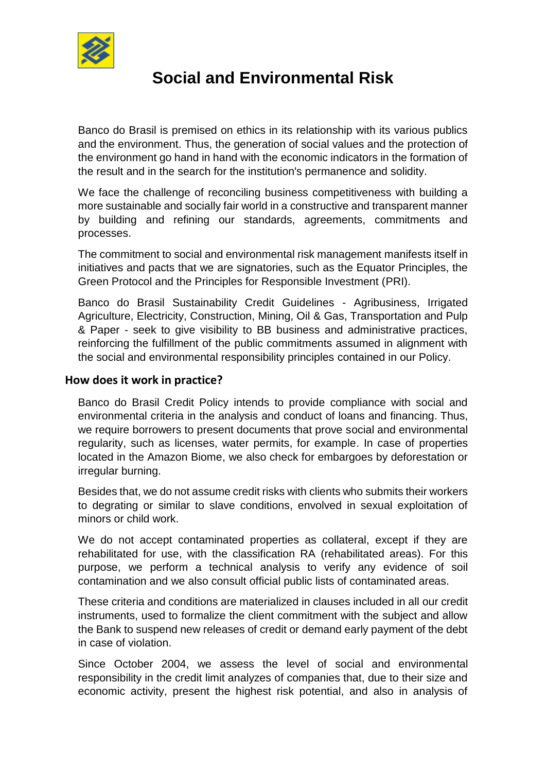

## **Social and Environmental Risk**

Banco do Brasil is premised on ethics in its relationship with its various publics and the environment. Thus, the generation of social values and the protection of the environment go hand in hand with the economic indicators in the formation of the result and in the search for the institution's permanence and solidity.

We face the challenge of reconciling business competitiveness with building a more sustainable and socially fair world in a constructive and transparent manner by building and refining our standards, agreements, commitments and processes.

The commitment to social and environmental risk management manifests itself in initiatives and pacts that we are signatories, such as the Equator Principles, the Green Protocol and the Principles for Responsible Investment (PRI).

Banco do Brasil Sustainability Credit Guidelines - Agribusiness, Irrigated Agriculture, Electricity, Construction, Mining, Oil & Gas, Transportation and Pulp & Paper - seek to give visibility to BB business and administrative practices, reinforcing the fulfillment of the public commitments assumed in alignment with the social and environmental responsibility principles contained in our Policy.

## **How does it work in practice?**

Banco do Brasil Credit Policy intends to provide compliance with social and environmental criteria in the analysis and conduct of loans and financing. Thus, we require borrowers to present documents that prove social and environmental regularity, such as licenses, water permits, for example. In case of properties located in the Amazon Biome, we also check for embargoes by deforestation or irregular burning.

Besides that, we do not assume credit risks with clients who submits their workers to degrating or similar to slave conditions, envolved in sexual exploitation of minors or child work.

We do not accept contaminated properties as collateral, except if they are rehabilitated for use, with the classification RA (rehabilitated areas). For this purpose, we perform a technical analysis to verify any evidence of soil contamination and we also consult official public lists of contaminated areas.

These criteria and conditions are materialized in clauses included in all our credit instruments, used to formalize the client commitment with the subject and allow the Bank to suspend new releases of credit or demand early payment of the debt in case of violation.

Since October 2004, we assess the level of social and environmental responsibility in the credit limit analyzes of companies that, due to their size and economic activity, present the highest risk potential, and also in analysis of